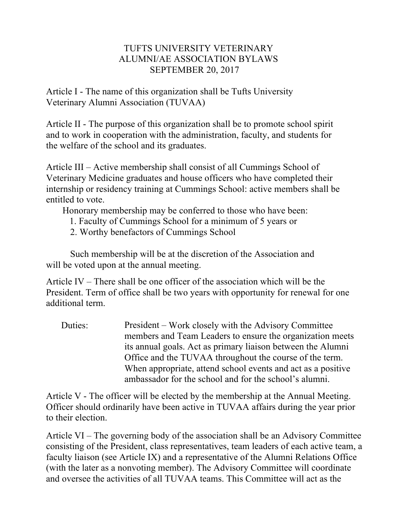## TUFTS UNIVERSITY VETERINARY ALUMNI/AE ASSOCIATION BYLAWS SEPTEMBER 20, 2017

Article I - The name of this organization shall be Tufts University Veterinary Alumni Association (TUVAA)

Article II - The purpose of this organization shall be to promote school spirit and to work in cooperation with the administration, faculty, and students for the welfare of the school and its graduates.

Article III – Active membership shall consist of all Cummings School of Veterinary Medicine graduates and house officers who have completed their internship or residency training at Cummings School: active members shall be entitled to vote.

Honorary membership may be conferred to those who have been:

- 1. Faculty of Cummings School for a minimum of 5 years or
- 2. Worthy benefactors of Cummings School

Such membership will be at the discretion of the Association and will be voted upon at the annual meeting.

Article IV – There shall be one officer of the association which will be the President. Term of office shall be two years with opportunity for renewal for one additional term.

Duties: President – Work closely with the Advisory Committee members and Team Leaders to ensure the organization meets its annual goals. Act as primary liaison between the Alumni Office and the TUVAA throughout the course of the term. When appropriate, attend school events and act as a positive ambassador for the school and for the school's alumni.

Article V - The officer will be elected by the membership at the Annual Meeting. Officer should ordinarily have been active in TUVAA affairs during the year prior to their election.

Article VI – The governing body of the association shall be an Advisory Committee consisting of the President, class representatives, team leaders of each active team, a faculty liaison (see Article IX) and a representative of the Alumni Relations Office (with the later as a nonvoting member). The Advisory Committee will coordinate and oversee the activities of all TUVAA teams. This Committee will act as the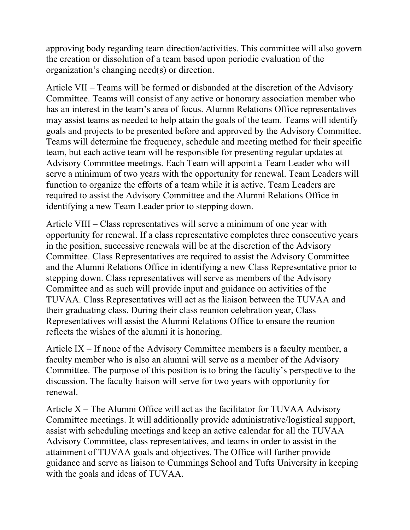approving body regarding team direction/activities. This committee will also govern the creation or dissolution of a team based upon periodic evaluation of the organization's changing need(s) or direction.

Article VII – Teams will be formed or disbanded at the discretion of the Advisory Committee. Teams will consist of any active or honorary association member who has an interest in the team's area of focus. Alumni Relations Office representatives may assist teams as needed to help attain the goals of the team. Teams will identify goals and projects to be presented before and approved by the Advisory Committee. Teams will determine the frequency, schedule and meeting method for their specific team, but each active team will be responsible for presenting regular updates at Advisory Committee meetings. Each Team will appoint a Team Leader who will serve a minimum of two years with the opportunity for renewal. Team Leaders will function to organize the efforts of a team while it is active. Team Leaders are required to assist the Advisory Committee and the Alumni Relations Office in identifying a new Team Leader prior to stepping down.

Article VIII – Class representatives will serve a minimum of one year with opportunity for renewal. If a class representative completes three consecutive years in the position, successive renewals will be at the discretion of the Advisory Committee. Class Representatives are required to assist the Advisory Committee and the Alumni Relations Office in identifying a new Class Representative prior to stepping down. Class representatives will serve as members of the Advisory Committee and as such will provide input and guidance on activities of the TUVAA. Class Representatives will act as the liaison between the TUVAA and their graduating class. During their class reunion celebration year, Class Representatives will assist the Alumni Relations Office to ensure the reunion reflects the wishes of the alumni it is honoring.

Article IX – If none of the Advisory Committee members is a faculty member, a faculty member who is also an alumni will serve as a member of the Advisory Committee. The purpose of this position is to bring the faculty's perspective to the discussion. The faculty liaison will serve for two years with opportunity for renewal.

Article  $X$  – The Alumni Office will act as the facilitator for TUVAA Advisory Committee meetings. It will additionally provide administrative/logistical support, assist with scheduling meetings and keep an active calendar for all the TUVAA Advisory Committee, class representatives, and teams in order to assist in the attainment of TUVAA goals and objectives. The Office will further provide guidance and serve as liaison to Cummings School and Tufts University in keeping with the goals and ideas of TUVAA.